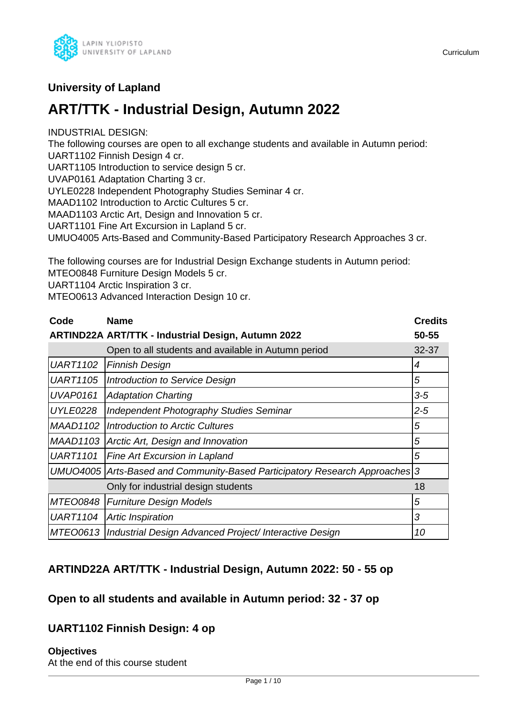

# **University of Lapland**

# **ART/TTK - Industrial Design, Autumn 2022**

INDUSTRIAL DESIGN:

The following courses are open to all exchange students and available in Autumn period: UART1102 Finnish Design 4 cr.

UART1105 Introduction to service design 5 cr.

UVAP0161 Adaptation Charting 3 cr.

UYLE0228 Independent Photography Studies Seminar 4 cr.

MAAD1102 Introduction to Arctic Cultures 5 cr.

MAAD1103 Arctic Art, Design and Innovation 5 cr.

UART1101 Fine Art Excursion in Lapland 5 cr.

UMUO4005 Arts-Based and Community-Based Participatory Research Approaches 3 cr.

The following courses are for Industrial Design Exchange students in Autumn period: MTEO0848 Furniture Design Models 5 cr.

UART1104 Arctic Inspiration 3 cr.

MTEO0613 Advanced Interaction Design 10 cr.

| Code            | <b>Name</b>                                                                 | <b>Credits</b> |
|-----------------|-----------------------------------------------------------------------------|----------------|
|                 | <b>ARTIND22A ART/TTK - Industrial Design, Autumn 2022</b>                   | 50-55          |
|                 | Open to all students and available in Autumn period                         | $32 - 37$      |
| <b>UART1102</b> | <b>Finnish Design</b>                                                       | 4              |
| <b>UART1105</b> | Introduction to Service Design                                              | 5              |
| <b>UVAP0161</b> | <b>Adaptation Charting</b>                                                  | $3-5$          |
| <b>UYLE0228</b> | Independent Photography Studies Seminar                                     | $2 - 5$        |
| <b>MAAD1102</b> | Introduction to Arctic Cultures                                             | 5              |
| <b>MAAD1103</b> | Arctic Art, Design and Innovation                                           | 5              |
| <b>UART1101</b> | <b>Fine Art Excursion in Lapland</b>                                        | 5              |
|                 | UMUO4005 Arts-Based and Community-Based Participatory Research Approaches 3 |                |
|                 | Only for industrial design students                                         | 18             |
| <b>MTEO0848</b> | Furniture Design Models                                                     | 5              |
| <b>UART1104</b> | Artic Inspiration                                                           | 3              |
| <b>MTEO0613</b> | Industrial Design Advanced Project/ Interactive Design                      | 10             |

# **ARTIND22A ART/TTK - Industrial Design, Autumn 2022: 50 - 55 op**

# **Open to all students and available in Autumn period: 32 - 37 op**

# **UART1102 Finnish Design: 4 op**

**Objectives** At the end of this course student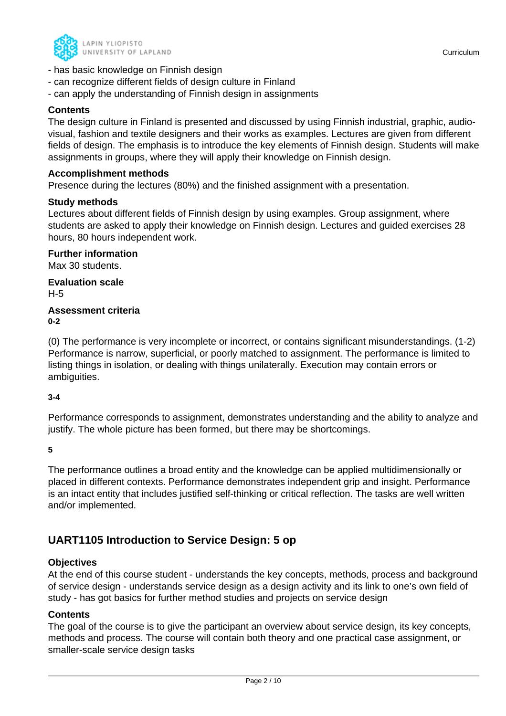

- can recognize different fields of design culture in Finland
- can apply the understanding of Finnish design in assignments

### **Contents**

The design culture in Finland is presented and discussed by using Finnish industrial, graphic, audiovisual, fashion and textile designers and their works as examples. Lectures are given from different fields of design. The emphasis is to introduce the key elements of Finnish design. Students will make assignments in groups, where they will apply their knowledge on Finnish design.

#### **Accomplishment methods**

Presence during the lectures (80%) and the finished assignment with a presentation.

#### **Study methods**

Lectures about different fields of Finnish design by using examples. Group assignment, where students are asked to apply their knowledge on Finnish design. Lectures and guided exercises 28 hours, 80 hours independent work.

**Further information** Max 30 students. **Evaluation scale**

H-5

#### **Assessment criteria 0-2**

(0) The performance is very incomplete or incorrect, or contains significant misunderstandings. (1-2) Performance is narrow, superficial, or poorly matched to assignment. The performance is limited to listing things in isolation, or dealing with things unilaterally. Execution may contain errors or ambiguities.

#### **3-4**

Performance corresponds to assignment, demonstrates understanding and the ability to analyze and justify. The whole picture has been formed, but there may be shortcomings.

**5**

The performance outlines a broad entity and the knowledge can be applied multidimensionally or placed in different contexts. Performance demonstrates independent grip and insight. Performance is an intact entity that includes justified self-thinking or critical reflection. The tasks are well written and/or implemented.

# **UART1105 Introduction to Service Design: 5 op**

### **Objectives**

At the end of this course student - understands the key concepts, methods, process and background of service design - understands service design as a design activity and its link to one's own field of study - has got basics for further method studies and projects on service design

### **Contents**

The goal of the course is to give the participant an overview about service design, its key concepts, methods and process. The course will contain both theory and one practical case assignment, or smaller-scale service design tasks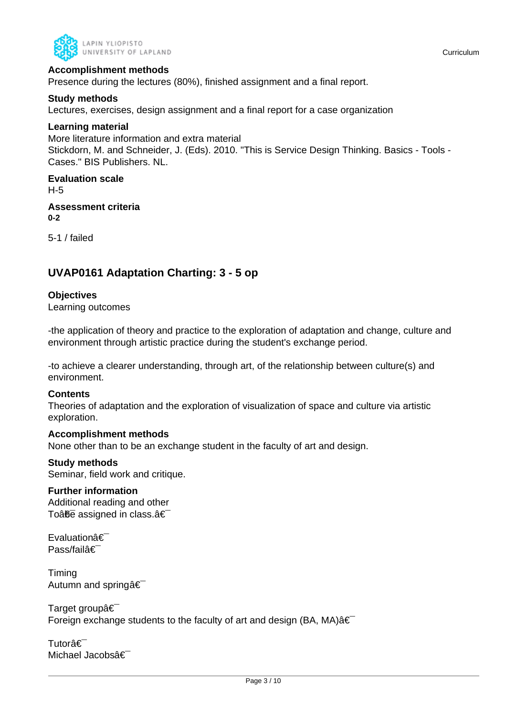

### **Accomplishment methods**

Presence during the lectures (80%), finished assignment and a final report.

### **Study methods**

Lectures, exercises, design assignment and a final report for a case organization

#### **Learning material**

More literature information and extra material Stickdorn, M. and Schneider, J. (Eds). 2010. "This is Service Design Thinking. Basics - Tools - Cases." BIS Publishers. NL.

### **Evaluation scale**

H-5

#### **Assessment criteria 0-2**

5-1 / failed

# **UVAP0161 Adaptation Charting: 3 - 5 op**

### **Objectives**

Learning outcomes

-the application of theory and practice to the exploration of adaptation and change, culture and environment through artistic practice during the student's exchange period.

-to achieve a clearer understanding, through art, of the relationship between culture(s) and environment.

#### **Contents**

Theories of adaptation and the exploration of visualization of space and culture via artistic exploration.

#### **Accomplishment methods**

None other than to be an exchange student in the faculty of art and design.

#### **Study methods**

Seminar, field work and critique.

#### **Further information**

Additional reading and other To $\hat{a}$  $\hat{b}$  assigned in class. $\hat{a} \in$ 

**Evaluationâ€** Pass/failâ€

Timing Autumn and spring  $\hat{\mathbf{a}} \in \mathbb{R}$ 

Target groupâ€ Foreign exchange students to the faculty of art and design (BA, MA) $\hat{a} \in$ 

Tutorâ€⊤ Michael Jacobsâ€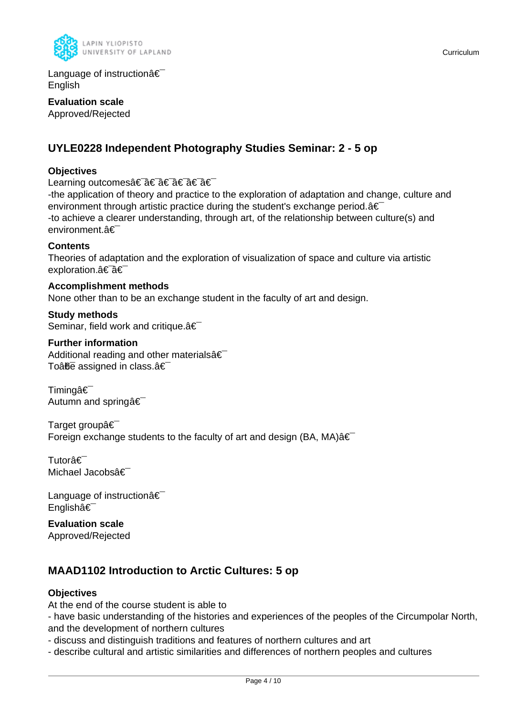

Language of instruction $a \in$ English

**Evaluation scale** Approved/Rejected

# **UYLE0228 Independent Photography Studies Seminar: 2 - 5 op**

### **Objectives**

Learning outcomes†â€ †â€ †â€

-the application of theory and practice to the exploration of adaptation and change, culture and environment through artistic practice during the student's exchange period. $a \in I$ -to achieve a clearer understanding, through art, of the relationship between culture(s) and environment.â€

#### **Contents**

Theories of adaptation and the exploration of visualization of space and culture via artistic exploration.a<sup>€-</sup>a€

**Accomplishment methods** None other than to be an exchange student in the faculty of art and design.

**Study methods** Seminar, field work and critique. a€

#### **Further information**

Additional reading and other materials $\hat{a} \in \hat{a}$ To $\hat{a}$  $\hat{b}$  assigned in class. $\hat{a} \in$ 

Timingâ€<sup>-</sup> Autumn and springâ€

Target groupâ€ Foreign exchange students to the faculty of art and design (BA, MA) $\hat{a} \in$ 

Tutorâ€ Michael Jacobsâ€

Language of instruction  $\hat{\mathbf{a}} \in \mathbb{R}$ Englishâ€

**Evaluation scale** Approved/Rejected

# **MAAD1102 Introduction to Arctic Cultures: 5 op**

### **Objectives**

At the end of the course student is able to

- have basic understanding of the histories and experiences of the peoples of the Circumpolar North, and the development of northern cultures

- discuss and distinguish traditions and features of northern cultures and art

- describe cultural and artistic similarities and differences of northern peoples and cultures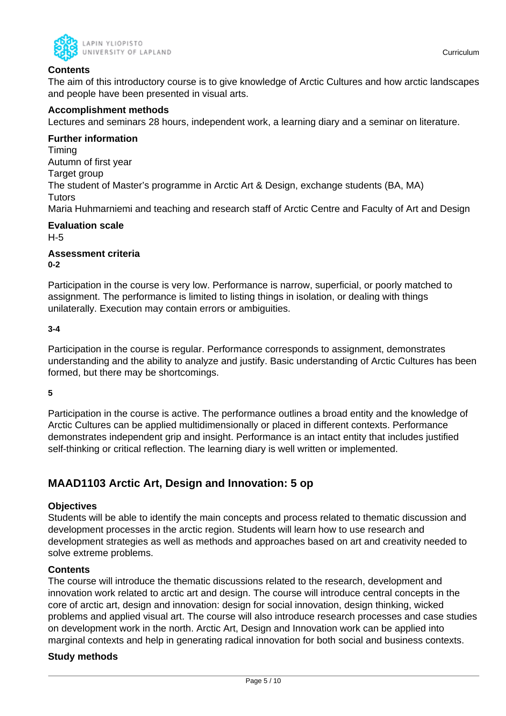

### **Contents**

The aim of this introductory course is to give knowledge of Arctic Cultures and how arctic landscapes and people have been presented in visual arts.

### **Accomplishment methods**

Lectures and seminars 28 hours, independent work, a learning diary and a seminar on literature.

#### **Further information**

Timing Autumn of first year Target group The student of Master's programme in Arctic Art & Design, exchange students (BA, MA) **Tutors** Maria Huhmarniemi and teaching and research staff of Arctic Centre and Faculty of Art and Design

# **Evaluation scale**

H-5

#### **Assessment criteria 0-2**

Participation in the course is very low. Performance is narrow, superficial, or poorly matched to assignment. The performance is limited to listing things in isolation, or dealing with things unilaterally. Execution may contain errors or ambiguities.

### **3-4**

Participation in the course is regular. Performance corresponds to assignment, demonstrates understanding and the ability to analyze and justify. Basic understanding of Arctic Cultures has been formed, but there may be shortcomings.

**5**

Participation in the course is active. The performance outlines a broad entity and the knowledge of Arctic Cultures can be applied multidimensionally or placed in different contexts. Performance demonstrates independent grip and insight. Performance is an intact entity that includes justified self-thinking or critical reflection. The learning diary is well written or implemented.

# **MAAD1103 Arctic Art, Design and Innovation: 5 op**

### **Objectives**

Students will be able to identify the main concepts and process related to thematic discussion and development processes in the arctic region. Students will learn how to use research and development strategies as well as methods and approaches based on art and creativity needed to solve extreme problems.

### **Contents**

The course will introduce the thematic discussions related to the research, development and innovation work related to arctic art and design. The course will introduce central concepts in the core of arctic art, design and innovation: design for social innovation, design thinking, wicked problems and applied visual art. The course will also introduce research processes and case studies on development work in the north. Arctic Art, Design and Innovation work can be applied into marginal contexts and help in generating radical innovation for both social and business contexts.

### **Study methods**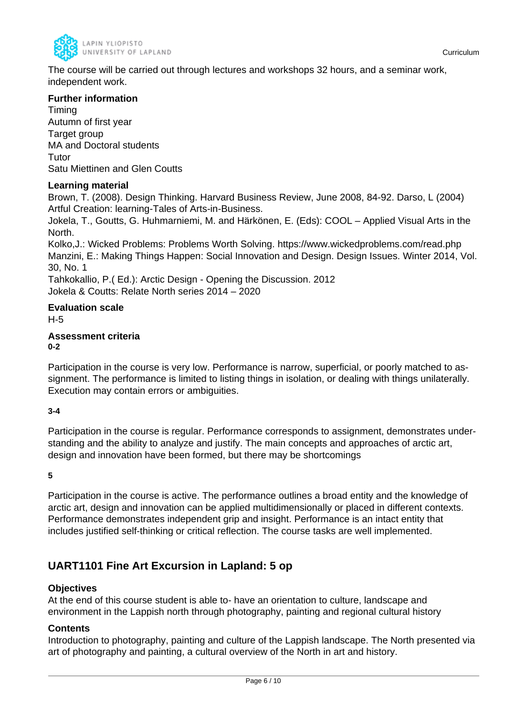

The course will be carried out through lectures and workshops 32 hours, and a seminar work, independent work.

### **Further information**

Timing Autumn of first year Target group MA and Doctoral students **Tutor** Satu Miettinen and Glen Coutts

### **Learning material**

Brown, T. (2008). Design Thinking. Harvard Business Review, June 2008, 84-92. Darso, L (2004) Artful Creation: learning-Tales of Arts-in-Business.

Jokela, T., Goutts, G. Huhmarniemi, M. and Härkönen, E. (Eds): COOL – Applied Visual Arts in the North.

Kolko,J.: Wicked Problems: Problems Worth Solving. https://www.wickedproblems.com/read.php Manzini, E.: Making Things Happen: Social Innovation and Design. Design Issues. Winter 2014, Vol. 30, No. 1

Tahkokallio, P.( Ed.): Arctic Design - Opening the Discussion. 2012 Jokela & Coutts: Relate North series 2014 – 2020

# **Evaluation scale**

H-5

#### **Assessment criteria 0-2**

Participation in the course is very low. Performance is narrow, superficial, or poorly matched to assignment. The performance is limited to listing things in isolation, or dealing with things unilaterally. Execution may contain errors or ambiguities.

### **3-4**

Participation in the course is regular. Performance corresponds to assignment, demonstrates understanding and the ability to analyze and justify. The main concepts and approaches of arctic art, design and innovation have been formed, but there may be shortcomings

**5**

Participation in the course is active. The performance outlines a broad entity and the knowledge of arctic art, design and innovation can be applied multidimensionally or placed in different contexts. Performance demonstrates independent grip and insight. Performance is an intact entity that includes justified self-thinking or critical reflection. The course tasks are well implemented.

# **UART1101 Fine Art Excursion in Lapland: 5 op**

### **Objectives**

At the end of this course student is able to- have an orientation to culture, landscape and environment in the Lappish north through photography, painting and regional cultural history

### **Contents**

Introduction to photography, painting and culture of the Lappish landscape. The North presented via art of photography and painting, a cultural overview of the North in art and history.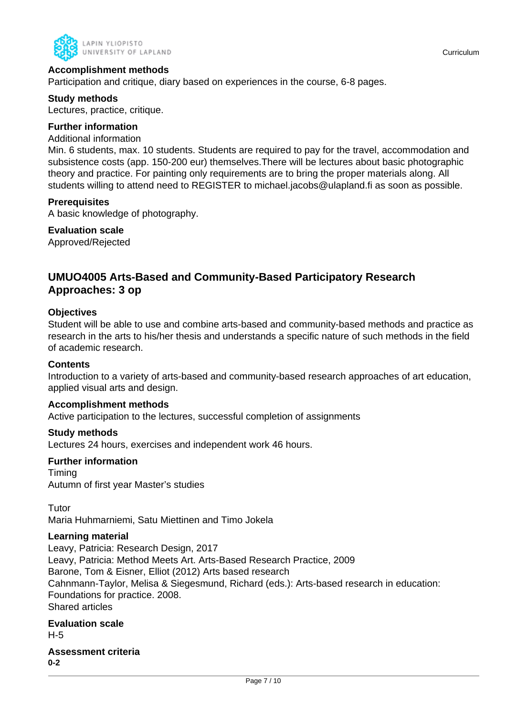

### **Accomplishment methods**

Participation and critique, diary based on experiences in the course, 6-8 pages.

#### **Study methods**

Lectures, practice, critique.

#### **Further information**

#### Additional information

Min. 6 students, max. 10 students. Students are required to pay for the travel, accommodation and subsistence costs (app. 150-200 eur) themselves.There will be lectures about basic photographic theory and practice. For painting only requirements are to bring the proper materials along. All students willing to attend need to REGISTER to michael.jacobs@ulapland.fi as soon as possible.

#### **Prerequisites**

A basic knowledge of photography.

#### **Evaluation scale**

Approved/Rejected

# **UMUO4005 Arts-Based and Community-Based Participatory Research Approaches: 3 op**

#### **Objectives**

Student will be able to use and combine arts-based and community-based methods and practice as research in the arts to his/her thesis and understands a specific nature of such methods in the field of academic research.

#### **Contents**

Introduction to a variety of arts-based and community-based research approaches of art education, applied visual arts and design.

#### **Accomplishment methods**

Active participation to the lectures, successful completion of assignments

#### **Study methods**

Lectures 24 hours, exercises and independent work 46 hours.

### **Further information**

Timing Autumn of first year Master's studies

**Tutor** Maria Huhmarniemi, Satu Miettinen and Timo Jokela

#### **Learning material**

Leavy, Patricia: Research Design, 2017 Leavy, Patricia: Method Meets Art. Arts-Based Research Practice, 2009 Barone, Tom & Eisner, Elliot (2012) Arts based research Cahnmann-Taylor, Melisa & Siegesmund, Richard (eds.): Arts-based research in education: Foundations for practice. 2008. Shared articles

### **Evaluation scale** H-5

#### **Assessment criteria 0-2**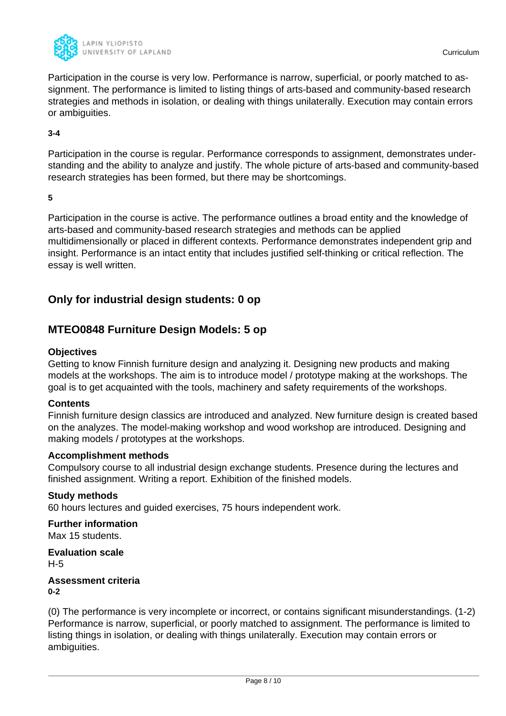

Participation in the course is very low. Performance is narrow, superficial, or poorly matched to assignment. The performance is limited to listing things of arts-based and community-based research strategies and methods in isolation, or dealing with things unilaterally. Execution may contain errors or ambiguities.

#### **3-4**

Participation in the course is regular. Performance corresponds to assignment, demonstrates understanding and the ability to analyze and justify. The whole picture of arts-based and community-based research strategies has been formed, but there may be shortcomings.

**5**

Participation in the course is active. The performance outlines a broad entity and the knowledge of arts-based and community-based research strategies and methods can be applied multidimensionally or placed in different contexts. Performance demonstrates independent grip and insight. Performance is an intact entity that includes justified self-thinking or critical reflection. The essay is well written.

# **Only for industrial design students: 0 op**

# **MTEO0848 Furniture Design Models: 5 op**

### **Objectives**

Getting to know Finnish furniture design and analyzing it. Designing new products and making models at the workshops. The aim is to introduce model / prototype making at the workshops. The goal is to get acquainted with the tools, machinery and safety requirements of the workshops.

### **Contents**

Finnish furniture design classics are introduced and analyzed. New furniture design is created based on the analyzes. The model-making workshop and wood workshop are introduced. Designing and making models / prototypes at the workshops.

### **Accomplishment methods**

Compulsory course to all industrial design exchange students. Presence during the lectures and finished assignment. Writing a report. Exhibition of the finished models.

### **Study methods**

60 hours lectures and guided exercises, 75 hours independent work.

### **Further information**

Max 15 students.

**Evaluation scale** H-5

#### **Assessment criteria 0-2**

(0) The performance is very incomplete or incorrect, or contains significant misunderstandings. (1-2) Performance is narrow, superficial, or poorly matched to assignment. The performance is limited to listing things in isolation, or dealing with things unilaterally. Execution may contain errors or ambiguities.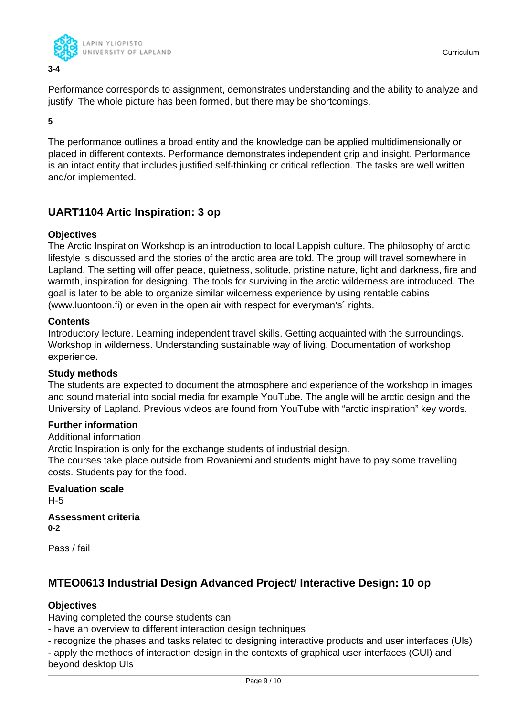

Performance corresponds to assignment, demonstrates understanding and the ability to analyze and justify. The whole picture has been formed, but there may be shortcomings.

**5**

The performance outlines a broad entity and the knowledge can be applied multidimensionally or placed in different contexts. Performance demonstrates independent grip and insight. Performance is an intact entity that includes justified self-thinking or critical reflection. The tasks are well written and/or implemented.

# **UART1104 Artic Inspiration: 3 op**

### **Objectives**

The Arctic Inspiration Workshop is an introduction to local Lappish culture. The philosophy of arctic lifestyle is discussed and the stories of the arctic area are told. The group will travel somewhere in Lapland. The setting will offer peace, quietness, solitude, pristine nature, light and darkness, fire and warmth, inspiration for designing. The tools for surviving in the arctic wilderness are introduced. The goal is later to be able to organize similar wilderness experience by using rentable cabins (www.luontoon.fi) or even in the open air with respect for everyman's´ rights.

### **Contents**

Introductory lecture. Learning independent travel skills. Getting acquainted with the surroundings. Workshop in wilderness. Understanding sustainable way of living. Documentation of workshop experience.

### **Study methods**

The students are expected to document the atmosphere and experience of the workshop in images and sound material into social media for example YouTube. The angle will be arctic design and the University of Lapland. Previous videos are found from YouTube with "arctic inspiration" key words.

### **Further information**

Additional information

Arctic Inspiration is only for the exchange students of industrial design.

The courses take place outside from Rovaniemi and students might have to pay some travelling costs. Students pay for the food.

#### **Evaluation scale** H-5

#### **Assessment criteria 0-2**

Pass / fail

# **MTEO0613 Industrial Design Advanced Project/ Interactive Design: 10 op**

### **Objectives**

Having completed the course students can

- have an overview to different interaction design techniques
- recognize the phases and tasks related to designing interactive products and user interfaces (UIs)

- apply the methods of interaction design in the contexts of graphical user interfaces (GUI) and beyond desktop UIs